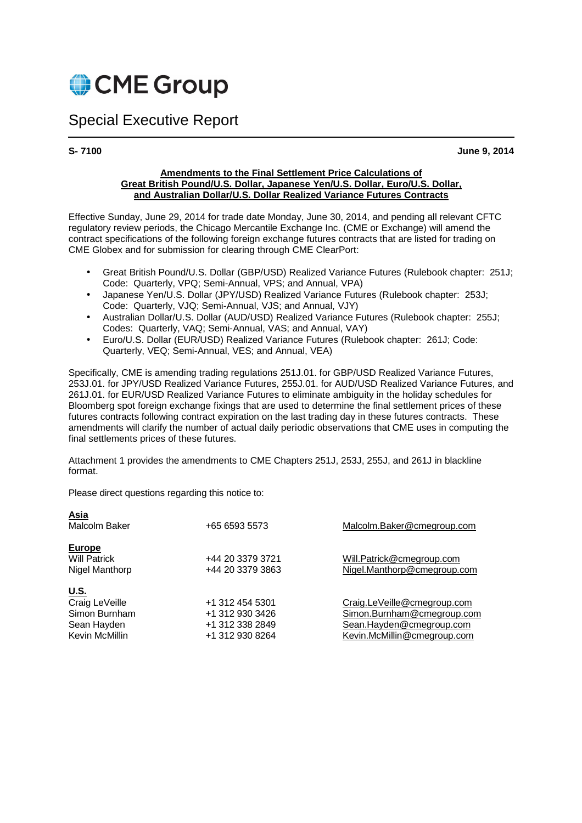

## Special Executive Report

**S- 7100 June 9, 2014** 

#### **Amendments to the Final Settlement Price Calculations of Great British Pound/U.S. Dollar, Japanese Yen/U.S. Dollar, Euro/U.S. Dollar, and Australian Dollar/U.S. Dollar Realized Variance Futures Contracts**

Effective Sunday, June 29, 2014 for trade date Monday, June 30, 2014, and pending all relevant CFTC regulatory review periods, the Chicago Mercantile Exchange Inc. (CME or Exchange) will amend the contract specifications of the following foreign exchange futures contracts that are listed for trading on CME Globex and for submission for clearing through CME ClearPort:

- Great British Pound/U.S. Dollar (GBP/USD) Realized Variance Futures (Rulebook chapter: 251J: Code: Quarterly, VPQ; Semi-Annual, VPS; and Annual, VPA)
- Japanese Yen/U.S. Dollar (JPY/USD) Realized Variance Futures (Rulebook chapter: 253J; Code: Quarterly, VJQ; Semi-Annual, VJS; and Annual, VJY)
- Australian Dollar/U.S. Dollar (AUD/USD) Realized Variance Futures (Rulebook chapter: 255J; Codes: Quarterly, VAQ; Semi-Annual, VAS; and Annual, VAY)
- Euro/U.S. Dollar (EUR/USD) Realized Variance Futures (Rulebook chapter: 261J; Code: Quarterly, VEQ; Semi-Annual, VES; and Annual, VEA)

Specifically, CME is amending trading regulations 251J.01. for GBP/USD Realized Variance Futures, 253J.01. for JPY/USD Realized Variance Futures, 255J.01. for AUD/USD Realized Variance Futures, and 261J.01. for EUR/USD Realized Variance Futures to eliminate ambiguity in the holiday schedules for Bloomberg spot foreign exchange fixings that are used to determine the final settlement prices of these futures contracts following contract expiration on the last trading day in these futures contracts. These amendments will clarify the number of actual daily periodic observations that CME uses in computing the final settlements prices of these futures.

Attachment 1 provides the amendments to CME Chapters 251J, 253J, 255J, and 261J in blackline format.

Please direct questions regarding this notice to:

| <b>Asia</b><br>Malcolm Baker                                                    | +65 6593 5573                                                            | Malcolm.Baker@cmegroup.com                                                                                           |
|---------------------------------------------------------------------------------|--------------------------------------------------------------------------|----------------------------------------------------------------------------------------------------------------------|
| <b>Europe</b><br><b>Will Patrick</b><br>Nigel Manthorp                          | +44 20 3379 3721<br>+44 20 3379 3863                                     | Will.Patrick@cmegroup.com<br>Nigel.Manthorp@cmegroup.com                                                             |
| <u>U.S.</u><br>Craig LeVeille<br>Simon Burnham<br>Sean Hayden<br>Kevin McMillin | +1 312 454 5301<br>+1 312 930 3426<br>+1 312 338 2849<br>+1 312 930 8264 | Craig.LeVeille@cmegroup.com<br>Simon.Burnham@cmegroup.com<br>Sean.Hayden@cmegroup.com<br>Kevin.McMillin@cmegroup.com |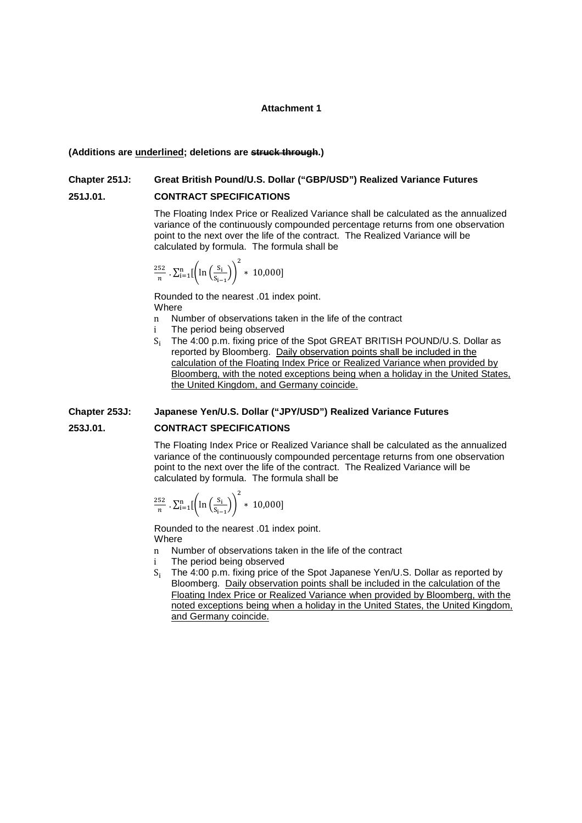#### **Attachment 1**

#### **(Additions are underlined; deletions are struck through.)**

# **Chapter 251J: Great British Pound/U.S. Dollar ("GBP/USD") Realized Variance Futures**

### **251J.01. CONTRACT SPECIFICATIONS**

 The Floating Index Price or Realized Variance shall be calculated as the annualized variance of the continuously compounded percentage returns from one observation point to the next over the life of the contract. The Realized Variance will be calculated by formula. The formula shall be

$$
\frac{252}{n} \cdot \sum_{i=1}^{n} \left[ \left( \ln \left( \frac{S_i}{S_{i-1}} \right) \right)^2 * 10,000 \right]
$$

 Rounded to the nearest .01 index point. **Where** 

- n Number of observations taken in the life of the contract<br>i The period being observed
- The period being observed
- S The 4:00 p.m. fixing price of the Spot GREAT BRITISH POUND/U.S. Dollar as reported by Bloomberg. Daily observation points shall be included in the calculation of the Floating Index Price or Realized Variance when provided by Bloomberg, with the noted exceptions being when a holiday in the United States, the United Kingdom, and Germany coincide.

# **Chapter 253J: Japanese Yen/U.S. Dollar ("JPY/USD") Realized Variance Futures**

#### **253J.01. CONTRACT SPECIFICATIONS**

 The Floating Index Price or Realized Variance shall be calculated as the annualized variance of the continuously compounded percentage returns from one observation point to the next over the life of the contract. The Realized Variance will be calculated by formula. The formula shall be

$$
\frac{252}{n} \cdot \sum_{i=1}^{n} \left[ \ln \left( \frac{S_i}{S_{i-1}} \right) \right]^2 * 10,000]
$$

 Rounded to the nearest .01 index point. **Where** 

- n Number of observations taken in the life of the contract
- i The period being observed
- S The 4:00 p.m. fixing price of the Spot Japanese Yen/U.S. Dollar as reported by Bloomberg. Daily observation points shall be included in the calculation of the Floating Index Price or Realized Variance when provided by Bloomberg, with the noted exceptions being when a holiday in the United States, the United Kingdom, and Germany coincide.